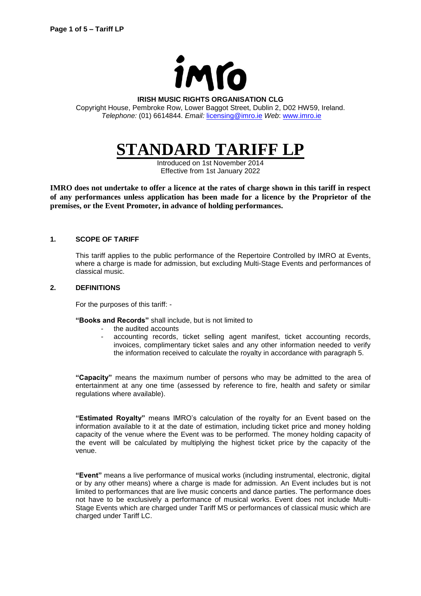

#### **IRISH MUSIC RIGHTS ORGANISATION CLG**

Copyright House, Pembroke Row, Lower Baggot Street, Dublin 2, D02 HW59, Ireland. *Telephone:* (01) 6614844. *Email:* [licensing@imro.ie](mailto:licensing@imro.ie) *Web*: [www.imro.ie](http://www.imro.ie/)

# **STANDARD TARIFF LP**

Introduced on 1st November 2014 Effective from 1st January 2022

**IMRO does not undertake to offer a licence at the rates of charge shown in this tariff in respect of any performances unless application has been made for a licence by the Proprietor of the premises, or the Event Promoter, in advance of holding performances.** 

#### **1. SCOPE OF TARIFF**

This tariff applies to the public performance of the Repertoire Controlled by IMRO at Events, where a charge is made for admission, but excluding Multi-Stage Events and performances of classical music.

#### **2. DEFINITIONS**

For the purposes of this tariff: -

**"Books and Records"** shall include, but is not limited to

- the audited accounts
	- accounting records, ticket selling agent manifest, ticket accounting records, invoices, complimentary ticket sales and any other information needed to verify the information received to calculate the royalty in accordance with paragraph 5.

**"Capacity"** means the maximum number of persons who may be admitted to the area of entertainment at any one time (assessed by reference to fire, health and safety or similar regulations where available).

**"Estimated Royalty"** means IMRO's calculation of the royalty for an Event based on the information available to it at the date of estimation, including ticket price and money holding capacity of the venue where the Event was to be performed. The money holding capacity of the event will be calculated by multiplying the highest ticket price by the capacity of the venue.

**"Event"** means a live performance of musical works (including instrumental, electronic, digital or by any other means) where a charge is made for admission. An Event includes but is not limited to performances that are live music concerts and dance parties. The performance does not have to be exclusively a performance of musical works. Event does not include Multi-Stage Events which are charged under Tariff MS or performances of classical music which are charged under Tariff LC.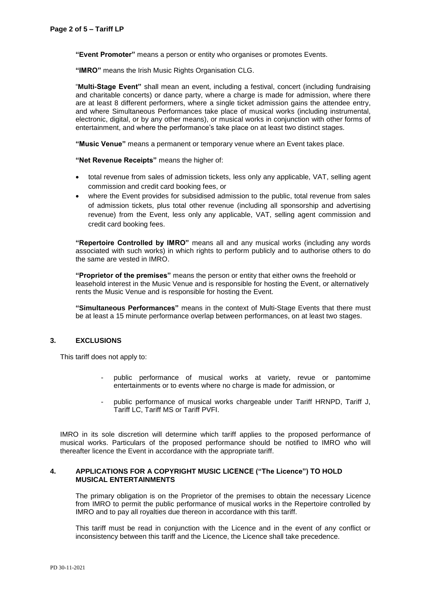**"Event Promoter"** means a person or entity who organises or promotes Events.

**"IMRO"** means the Irish Music Rights Organisation CLG.

"**Multi-Stage Event"** shall mean an event, including a festival, concert (including fundraising and charitable concerts) or dance party, where a charge is made for admission, where there are at least 8 different performers, where a single ticket admission gains the attendee entry, and where Simultaneous Performances take place of musical works (including instrumental, electronic, digital, or by any other means), or musical works in conjunction with other forms of entertainment, and where the performance's take place on at least two distinct stages.

**"Music Venue"** means a permanent or temporary venue where an Event takes place.

**"Net Revenue Receipts"** means the higher of:

- total revenue from sales of admission tickets, less only any applicable, VAT, selling agent commission and credit card booking fees, or
- where the Event provides for subsidised admission to the public, total revenue from sales of admission tickets, plus total other revenue (including all sponsorship and advertising revenue) from the Event, less only any applicable, VAT, selling agent commission and credit card booking fees.

**"Repertoire Controlled by IMRO"** means all and any musical works (including any words associated with such works) in which rights to perform publicly and to authorise others to do the same are vested in IMRO.

**"Proprietor of the premises"** means the person or entity that either owns the freehold or leasehold interest in the Music Venue and is responsible for hosting the Event, or alternatively rents the Music Venue and is responsible for hosting the Event.

**"Simultaneous Performances"** means in the context of Multi-Stage Events that there must be at least a 15 minute performance overlap between performances, on at least two stages.

## **3. EXCLUSIONS**

This tariff does not apply to:

- public performance of musical works at variety, revue or pantomime entertainments or to events where no charge is made for admission, or
- public performance of musical works chargeable under Tariff HRNPD, Tariff J, Tariff LC, Tariff MS or Tariff PVFI.

IMRO in its sole discretion will determine which tariff applies to the proposed performance of musical works. Particulars of the proposed performance should be notified to IMRO who will thereafter licence the Event in accordance with the appropriate tariff.

# **4. APPLICATIONS FOR A COPYRIGHT MUSIC LICENCE ("The Licence") TO HOLD MUSICAL ENTERTAINMENTS**

The primary obligation is on the Proprietor of the premises to obtain the necessary Licence from IMRO to permit the public performance of musical works in the Repertoire controlled by IMRO and to pay all royalties due thereon in accordance with this tariff.

This tariff must be read in conjunction with the Licence and in the event of any conflict or inconsistency between this tariff and the Licence, the Licence shall take precedence.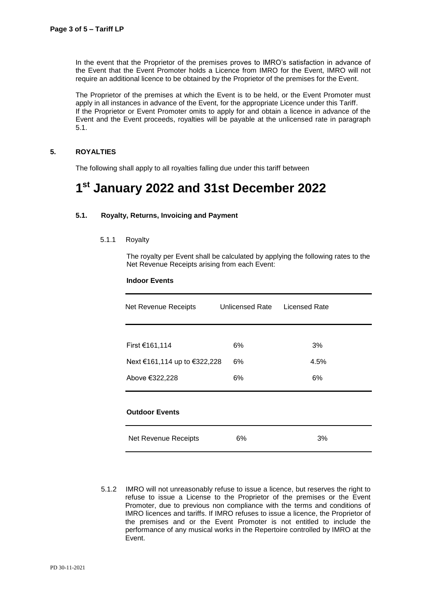In the event that the Proprietor of the premises proves to IMRO's satisfaction in advance of the Event that the Event Promoter holds a Licence from IMRO for the Event, IMRO will not require an additional licence to be obtained by the Proprietor of the premises for the Event.

The Proprietor of the premises at which the Event is to be held, or the Event Promoter must apply in all instances in advance of the Event, for the appropriate Licence under this Tariff. If the Proprietor or Event Promoter omits to apply for and obtain a licence in advance of the Event and the Event proceeds, royalties will be payable at the unlicensed rate in paragraph 5.1.

#### **5. ROYALTIES**

The following shall apply to all royalties falling due under this tariff between

# **1 st January 2022 and 31st December 2022**

## **5.1. Royalty, Returns, Invoicing and Payment**

#### 5.1.1 Royalty

The royalty per Event shall be calculated by applying the following rates to the Net Revenue Receipts arising from each Event:

#### **Indoor Events**

| Net Revenue Receipts         | Unlicensed Rate | <b>Licensed Rate</b> |  |
|------------------------------|-----------------|----------------------|--|
|                              |                 |                      |  |
| First €161,114               | 6%              | 3%                   |  |
| Next €161,114 up to €322,228 | 6%              | 4.5%                 |  |
| Above €322,228               | 6%              | 6%                   |  |
| <b>Outdoor Events</b>        |                 |                      |  |
| Net Revenue Receipts         | 6%              | 3%                   |  |

5.1.2 IMRO will not unreasonably refuse to issue a licence, but reserves the right to refuse to issue a License to the Proprietor of the premises or the Event Promoter, due to previous non compliance with the terms and conditions of IMRO licences and tariffs. If IMRO refuses to issue a licence, the Proprietor of the premises and or the Event Promoter is not entitled to include the performance of any musical works in the Repertoire controlled by IMRO at the Event.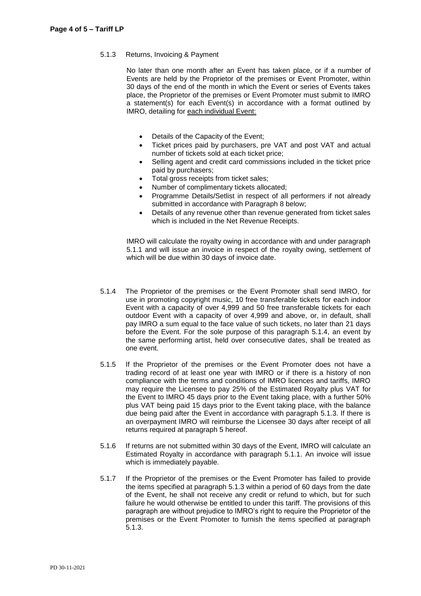# 5.1.3 Returns, Invoicing & Payment

No later than one month after an Event has taken place, or if a number of Events are held by the Proprietor of the premises or Event Promoter, within 30 days of the end of the month in which the Event or series of Events takes place, the Proprietor of the premises or Event Promoter must submit to IMRO a statement(s) for each Event(s) in accordance with a format outlined by IMRO, detailing for each individual Event:

- Details of the Capacity of the Event;
- Ticket prices paid by purchasers, pre VAT and post VAT and actual number of tickets sold at each ticket price;
- Selling agent and credit card commissions included in the ticket price paid by purchasers;
- Total gross receipts from ticket sales;
- Number of complimentary tickets allocated;
- Programme Details/Setlist in respect of all performers if not already submitted in accordance with Paragraph 8 below;
- Details of any revenue other than revenue generated from ticket sales which is included in the Net Revenue Receipts.

IMRO will calculate the royalty owing in accordance with and under paragraph 5.1.1 and will issue an invoice in respect of the royalty owing, settlement of which will be due within 30 days of invoice date.

- 5.1.4 The Proprietor of the premises or the Event Promoter shall send IMRO, for use in promoting copyright music, 10 free transferable tickets for each indoor Event with a capacity of over 4,999 and 50 free transferable tickets for each outdoor Event with a capacity of over 4,999 and above, or, in default, shall pay IMRO a sum equal to the face value of such tickets, no later than 21 days before the Event. For the sole purpose of this paragraph 5.1.4, an event by the same performing artist, held over consecutive dates, shall be treated as one event.
- 5.1.5 If the Proprietor of the premises or the Event Promoter does not have a trading record of at least one year with IMRO or if there is a history of non compliance with the terms and conditions of IMRO licences and tariffs, IMRO may require the Licensee to pay 25% of the Estimated Royalty plus VAT for the Event to IMRO 45 days prior to the Event taking place, with a further 50% plus VAT being paid 15 days prior to the Event taking place, with the balance due being paid after the Event in accordance with paragraph 5.1.3. If there is an overpayment IMRO will reimburse the Licensee 30 days after receipt of all returns required at paragraph 5 hereof.
- 5.1.6 If returns are not submitted within 30 days of the Event, IMRO will calculate an Estimated Royalty in accordance with paragraph 5.1.1. An invoice will issue which is immediately payable.
- 5.1.7 If the Proprietor of the premises or the Event Promoter has failed to provide the items specified at paragraph 5.1.3 within a period of 60 days from the date of the Event, he shall not receive any credit or refund to which, but for such failure he would otherwise be entitled to under this tariff. The provisions of this paragraph are without prejudice to IMRO's right to require the Proprietor of the premises or the Event Promoter to furnish the items specified at paragraph 5.1.3.